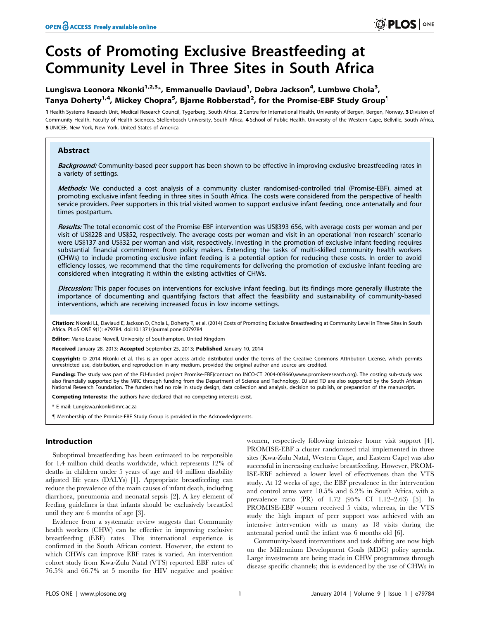# Costs of Promoting Exclusive Breastfeeding at Community Level in Three Sites in South Africa

## Lungiswa Leonora Nkonki<sup>1,2,3</sup>\*, Emmanuelle Daviaud<sup>1</sup>, Debra Jackson<sup>4</sup>, Lumbwe Chola<sup>3</sup>, Tanya Doherty $^{1,4}$ , Mickey Chopra $^5$ , Bjarne Robberstad $^2$ , for the Promise-EBF Study Group $^\P$

1 Health Systems Research Unit, Medical Research Council, Tygerberg, South Africa, 2 Centre for International Health, University of Bergen, Bergen, Norway, 3 Division of Community Health, Faculty of Health Sciences, Stellenbosch University, South Africa, 4 School of Public Health, University of the Western Cape, Bellville, South Africa, 5 UNICEF, New York, New York, United States of America

## Abstract

Background: Community-based peer support has been shown to be effective in improving exclusive breastfeeding rates in a variety of settings.

Methods: We conducted a cost analysis of a community cluster randomised-controlled trial (Promise-EBF), aimed at promoting exclusive infant feeding in three sites in South Africa. The costs were considered from the perspective of health service providers. Peer supporters in this trial visited women to support exclusive infant feeding, once antenatally and four times postpartum.

Results: The total economic cost of the Promise-EBF intervention was US\$393 656, with average costs per woman and per visit of US\$228 and US\$52, respectively. The average costs per woman and visit in an operational 'non research' scenario were US\$137 and US\$32 per woman and visit, respectively. Investing in the promotion of exclusive infant feeding requires substantial financial commitment from policy makers. Extending the tasks of multi-skilled community health workers (CHWs) to include promoting exclusive infant feeding is a potential option for reducing these costs. In order to avoid efficiency losses, we recommend that the time requirements for delivering the promotion of exclusive infant feeding are considered when integrating it within the existing activities of CHWs.

Discussion: This paper focuses on interventions for exclusive infant feeding, but its findings more generally illustrate the importance of documenting and quantifying factors that affect the feasibility and sustainability of community-based interventions, which are receiving increased focus in low income settings.

Citation: Nkonki LL, Daviaud E, Jackson D, Chola L, Doherty T, et al. (2014) Costs of Promoting Exclusive Breastfeeding at Community Level in Three Sites in South Africa. PLoS ONE 9(1): e79784. doi:10.1371/journal.pone.0079784

Editor: Marie-Louise Newell, University of Southampton, United Kingdom

Received January 28, 2013; Accepted September 25, 2013; Published January 10, 2014

**Copyright:** © 2014 Nkonki et al. This is an open-access article distributed under the terms of the Creative Commons Attribution License, which permits unrestricted use, distribution, and reproduction in any medium, provided the original author and source are credited.

Funding: The study was part of the EU-funded project Promise-EBF(contract no INCO-CT 2004-003660,www.promiseresearch.org). The costing sub-study was also financially supported by the MRC through funding from the Department of Science and Technology. DJ and TD are also supported by the South African National Research Foundation. The funders had no role in study design, data collection and analysis, decision to publish, or preparation of the manuscript.

Competing Interests: The authors have declared that no competing interests exist.

\* E-mail: Lungiswa.nkonki@mrc.ac.za

" Membership of the Promise-EBF Study Group is provided in the Acknowledgments.

## Introduction

Suboptimal breastfeeding has been estimated to be responsible for 1.4 million child deaths worldwide, which represents 12% of deaths in children under 5 years of age and 44 million disability adjusted life years (DALYs) [1]. Appropriate breastfeeding can reduce the prevalence of the main causes of infant death, including diarrhoea, pneumonia and neonatal sepsis [2]. A key element of feeding guidelines is that infants should be exclusively breastfed until they are 6 months of age [3].

Evidence from a systematic review suggests that Community health workers (CHW) can be effective in improving exclusive breastfeeding (EBF) rates. This international experience is confirmed in the South African context. However, the extent to which CHWs can improve EBF rates is varied. An intervention cohort study from Kwa-Zulu Natal (VTS) reported EBF rates of 76.5% and 66.7% at 5 months for HIV negative and positive

women, respectively following intensive home visit support [4]. PROMISE-EBF a cluster randomised trial implemented in three sites (Kwa-Zulu Natal, Western Cape, and Eastern Cape) was also successful in increasing exclusive breastfeeding. However, PROM-ISE-EBF achieved a lower level of effectiveness than the VTS study. At 12 weeks of age, the EBF prevalence in the intervention and control arms were 10.5% and 6.2% in South Africa, with a prevalence ratio (PR) of 1.72 (95% CI 1.12–2.63) [5]. In PROMISE-EBF women received 5 visits, whereas, in the VTS study the high impact of peer support was achieved with an intensive intervention with as many as 18 visits during the antenatal period until the infant was 6 months old [6].

Community-based interventions and task shifting are now high on the Millennium Development Goals (MDG) policy agenda. Large investments are being made in CHW programmes through disease specific channels; this is evidenced by the use of CHWs in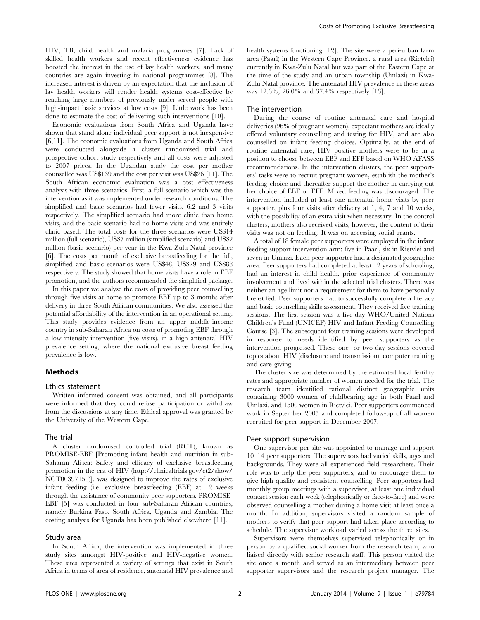HIV, TB, child health and malaria programmes [7]. Lack of skilled health workers and recent effectiveness evidence has boosted the interest in the use of lay health workers, and many countries are again investing in national programmes [8]. The increased interest is driven by an expectation that the inclusion of lay health workers will render health systems cost-effective by reaching large numbers of previously under-served people with high-impact basic services at low costs [9]. Little work has been done to estimate the cost of delivering such interventions [10].

Economic evaluations from South Africa and Uganda have shown that stand alone individual peer support is not inexpensive [6,11]. The economic evaluations from Uganda and South Africa were conducted alongside a cluster randomised trial and prospective cohort study respectively and all costs were adjusted to 2007 prices. In the Ugandan study the cost per mother counselled was US\$139 and the cost per visit was US\$26 [11]. The South African economic evaluation was a cost effectiveness analysis with three scenarios. First, a full scenario which was the intervention as it was implemented under research conditions. The simplified and basic scenarios had fewer visits, 6.2 and 3 visits respectively. The simplified scenario had more clinic than home visits, and the basic scenario had no home visits and was entirely clinic based. The total costs for the three scenarios were US\$14 million (full scenario), US\$7 million (simplified scenario) and US\$2 million (basic scenario) per year in the Kwa-Zulu Natal province [6]. The costs per month of exclusive breastfeeding for the full, simplified and basic scenarios were US\$48, US\$29 and US\$88 respectively. The study showed that home visits have a role in EBF promotion, and the authors recommended the simplified package.

In this paper we analyse the costs of providing peer counselling through five visits at home to promote EBF up to 3 months after delivery in three South African communities. We also assessed the potential affordability of the intervention in an operational setting. This study provides evidence from an upper middle-income country in sub-Saharan Africa on costs of promoting EBF through a low intensity intervention (five visits), in a high antenatal HIV prevalence setting, where the national exclusive breast feeding prevalence is low.

## Methods

#### Ethics statement

Written informed consent was obtained, and all participants were informed that they could refuse participation or withdraw from the discussions at any time. Ethical approval was granted by the University of the Western Cape.

#### The trial

A cluster randomised controlled trial (RCT), known as PROMISE-EBF [Promoting infant health and nutrition in sub-Saharan Africa: Safety and efficacy of exclusive breastfeeding promotion in the era of HIV (http://clinicaltrials.gov/ct2/show/ NCT00397150)], was designed to improve the rates of exclusive infant feeding (i.e. exclusive breastfeeding (EBF) at 12 weeks through the assistance of community peer supporters. PROMISE-EBF [5] was conducted in four sub-Saharan African countries, namely Burkina Faso, South Africa, Uganda and Zambia. The costing analysis for Uganda has been published elsewhere [11].

## Study area

In South Africa, the intervention was implemented in three study sites amongst HIV-positive and HIV-negative women. These sites represented a variety of settings that exist in South Africa in terms of area of residence, antenatal HIV prevalence and health systems functioning [12]. The site were a peri-urban farm area (Paarl) in the Western Cape Province, a rural area (Rietvlei) currently in Kwa-Zulu Natal but was part of the Eastern Cape at the time of the study and an urban township (Umlazi) in Kwa-Zulu Natal province. The antenatal HIV prevalence in these areas was 12.6%, 26.0% and 37.4% respectively [13].

#### The intervention

During the course of routine antenatal care and hospital deliveries (96% of pregnant women), expectant mothers are ideally offered voluntary counselling and testing for HIV, and are also counselled on infant feeding choices. Optimally, at the end of routine antenatal care, HIV positive mothers were to be in a position to choose between EBF and EFF based on WHO AFASS recommendations. In the intervention clusters, the peer supporters' tasks were to recruit pregnant women, establish the mother's feeding choice and thereafter support the mother in carrying out her choice of EBF or EFF. Mixed feeding was discouraged. The intervention included at least one antenatal home visits by peer supporter, plus four visits after delivery at 1, 4, 7 and 10 weeks, with the possibility of an extra visit when necessary. In the control clusters, mothers also received visits; however, the content of their visits was not on feeding. It was on accessing social grants.

A total of 18 female peer supporters were employed in the infant feeding support intervention arm: five in Paarl, six in Rietvlei and seven in Umlazi. Each peer supporter had a designated geographic area. Peer supporters had completed at least 12 years of schooling, had an interest in child health, prior experience of community involvement and lived within the selected trial clusters. There was neither an age limit nor a requirement for them to have personally breast fed. Peer supporters had to successfully complete a literacy and basic counselling skills assessment. They received five training sessions. The first session was a five-day WHO/United Nations Children's Fund (UNICEF) HIV and Infant Feeding Counselling Course [3]. The subsequent four training sessions were developed in response to needs identified by peer supporters as the intervention progressed. These one- or two-day sessions covered topics about HIV (disclosure and transmission), computer training and care giving.

The cluster size was determined by the estimated local fertility rates and appropriate number of women needed for the trial. The research team identified rational distinct geographic units containing 3000 women of childbearing age in both Paarl and Umlazi, and 1500 women in Rietvlei. Peer supporters commenced work in September 2005 and completed follow-up of all women recruited for peer support in December 2007.

#### Peer support supervision

One supervisor per site was appointed to manage and support 10–14 peer supporters. The supervisors had varied skills, ages and backgrounds. They were all experienced field researchers. Their role was to help the peer supporters, and to encourage them to give high quality and consistent counselling. Peer supporters had monthly group meetings with a supervisor, at least one individual contact session each week (telephonically or face-to-face) and were observed counselling a mother during a home visit at least once a month. In addition, supervisors visited a random sample of mothers to verify that peer support had taken place according to schedule. The supervisor workload varied across the three sites.

Supervisors were themselves supervised telephonically or in person by a qualified social worker from the research team, who liaised directly with senior research staff. This person visited the site once a month and served as an intermediary between peer supporter supervisors and the research project manager. The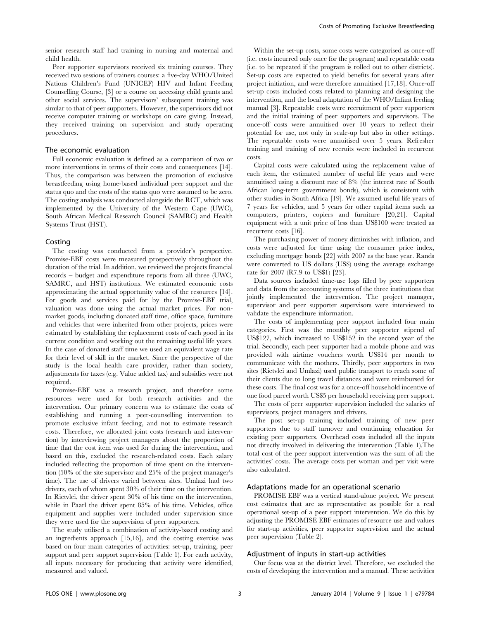senior research staff had training in nursing and maternal and child health.

Peer supporter supervisors received six training courses. They received two sessions of trainers courses: a five-day WHO/United Nations Children's Fund (UNICEF) HIV and Infant Feeding Counselling Course, [3] or a course on accessing child grants and other social services. The supervisors' subsequent training was similar to that of peer supporters. However, the supervisors did not receive computer training or workshops on care giving. Instead, they received training on supervision and study operating procedures.

#### The economic evaluation

Full economic evaluation is defined as a comparison of two or more interventions in terms of their costs and consequences [14]. Thus, the comparison was between the promotion of exclusive breastfeeding using home-based individual peer support and the status quo and the costs of the status quo were assumed to be zero. The costing analysis was conducted alongside the RCT, which was implemented by the University of the Western Cape (UWC), South African Medical Research Council (SAMRC) and Health Systems Trust (HST).

#### Costing

The costing was conducted from a provider's perspective. Promise-EBF costs were measured prospectively throughout the duration of the trial. In addition, we reviewed the projects financial records – budget and expenditure reports from all three (UWC, SAMRC, and HST) institutions. We estimated economic costs approximating the actual opportunity value of the resources [14]. For goods and services paid for by the Promise-EBF trial, valuation was done using the actual market prices. For nonmarket goods, including donated staff time, office space, furniture and vehicles that were inherited from other projects, prices were estimated by establishing the replacement costs of each good in its current condition and working out the remaining useful life years. In the case of donated staff time we used an equivalent wage rate for their level of skill in the market. Since the perspective of the study is the local health care provider, rather than society, adjustments for taxes (e.g. Value added tax) and subsidies were not required.

Promise-EBF was a research project, and therefore some resources were used for both research activities and the intervention. Our primary concern was to estimate the costs of establishing and running a peer-counselling intervention to promote exclusive infant feeding, and not to estimate research costs. Therefore, we allocated joint costs (research and intervention) by interviewing project managers about the proportion of time that the cost item was used for during the intervention, and based on this, excluded the research-related costs. Each salary included reflecting the proportion of time spent on the intervention (50% of the site supervisor and 25% of the project manager's time). The use of drivers varied between sites. Umlazi had two drivers, each of whom spent 30% of their time on the intervention. In Rietvlei, the driver spent 30% of his time on the intervention, while in Paarl the driver spent 85% of his time. Vehicles, office equipment and supplies were included under supervision since they were used for the supervision of peer supporters.

The study utilised a combination of activity-based costing and an ingredients approach [15,16], and the costing exercise was based on four main categories of activities: set-up, training, peer support and peer support supervision (Table 1). For each activity, all inputs necessary for producing that activity were identified, measured and valued.

Within the set-up costs, some costs were categorised as once-off (i.e. costs incurred only once for the program) and repeatable costs (i.e. to be repeated if the program is rolled out to other districts). Set-up costs are expected to yield benefits for several years after project initiation, and were therefore annuitised [17,18]. Once-off set-up costs included costs related to planning and designing the intervention, and the local adaptation of the WHO/Infant feeding manual [3]. Repeatable costs were recruitment of peer supporters and the initial training of peer supporters and supervisors. The once-off costs were annuitised over 10 years to reflect their potential for use, not only in scale-up but also in other settings. The repeatable costs were annuitised over 5 years. Refresher training and training of new recruits were included in recurrent costs.

Capital costs were calculated using the replacement value of each item, the estimated number of useful life years and were annuitised using a discount rate of 8% (the interest rate of South African long-term government bonds), which is consistent with other studies in South Africa [19]. We assumed useful life years of 7 years for vehicles, and 5 years for other capital items such as computers, printers, copiers and furniture [20,21]. Capital equipment with a unit price of less than US\$100 were treated as recurrent costs [16].

The purchasing power of money diminishes with inflation, and costs were adjusted for time using the consumer price index, excluding mortgage bonds [22] with 2007 as the base year. Rands were converted to US dollars (US\$) using the average exchange rate for 2007 (R7.9 to US\$1) [23].

Data sources included time-use logs filled by peer supporters and data from the accounting systems of the three institutions that jointly implemented the intervention. The project manager, supervisor and peer supporter supervisors were interviewed to validate the expenditure information.

The costs of implementing peer support included four main categories. First was the monthly peer supporter stipend of US\$127, which increased to US\$152 in the second year of the trial. Secondly, each peer supporter had a mobile phone and was provided with airtime vouchers worth US\$14 per month to communicate with the mothers. Thirdly, peer supporters in two sites (Rietvlei and Umlazi) used public transport to reach some of their clients due to long travel distances and were reimbursed for these costs. The final cost was for a once-off household incentive of one food parcel worth US\$5 per household receiving peer support.

The costs of peer supporter supervision included the salaries of supervisors, project managers and drivers.

The post set-up training included training of new peer supporters due to staff turnover and continuing education for existing peer supporters. Overhead costs included all the inputs not directly involved in delivering the intervention (Table 1).The total cost of the peer support intervention was the sum of all the activities' costs. The average costs per woman and per visit were also calculated.

#### Adaptations made for an operational scenario

PROMISE EBF was a vertical stand-alone project. We present cost estimates that are as representative as possible for a real operational set-up of a peer support intervention. We do this by adjusting the PROMISE EBF estimates of resource use and values for start-up activities, peer supporter supervision and the actual peer supervision (Table 2).

#### Adjustment of inputs in start-up activities

Our focus was at the district level. Therefore, we excluded the costs of developing the intervention and a manual. These activities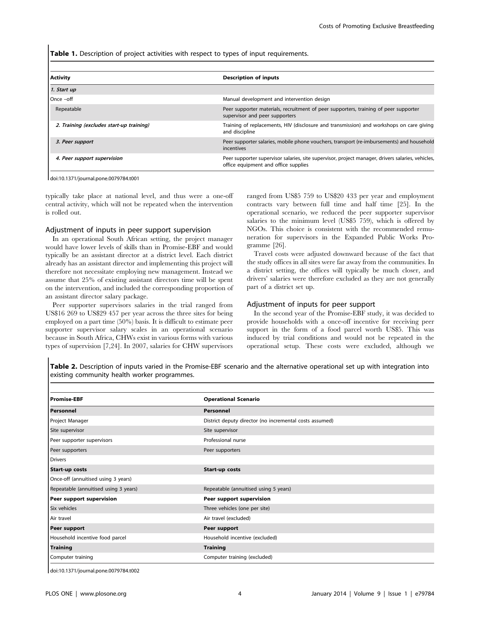Table 1. Description of project activities with respect to types of input requirements.

| <b>Description of inputs</b>                                                                                                              |
|-------------------------------------------------------------------------------------------------------------------------------------------|
|                                                                                                                                           |
| Manual development and intervention design                                                                                                |
| Peer supporter materials, recruitment of peer supporters, training of peer supporter<br>supervisor and peer supporters                    |
| Training of replacements, HIV (disclosure and transmission) and workshops on care giving<br>and discipline                                |
| Peer supporter salaries, mobile phone vouchers, transport (re-imbursements) and household<br>incentives                                   |
| Peer supporter supervisor salaries, site supervisor, project manager, drivers salaries, vehicles,<br>office equipment and office supplies |
|                                                                                                                                           |

doi:10.1371/journal.pone.0079784.t001

typically take place at national level, and thus were a one-off central activity, which will not be repeated when the intervention is rolled out.

#### Adjustment of inputs in peer support supervision

In an operational South African setting, the project manager would have lower levels of skills than in Promise-EBF and would typically be an assistant director at a district level. Each district already has an assistant director and implementing this project will therefore not necessitate employing new management. Instead we assume that 25% of existing assistant directors time will be spent on the intervention, and included the corresponding proportion of an assistant director salary package.

Peer supporter supervisors salaries in the trial ranged from US\$16 269 to US\$29 457 per year across the three sites for being employed on a part time (50%) basis. It is difficult to estimate peer supporter supervisor salary scales in an operational scenario because in South Africa, CHWs exist in various forms with various types of supervision [7,24]. In 2007, salaries for CHW supervisors ranged from US\$5 759 to US\$20 433 per year and employment contracts vary between full time and half time [25]. In the operational scenario, we reduced the peer supporter supervisor salaries to the minimum level (US\$5 759), which is offered by NGOs. This choice is consistent with the recommended remuneration for supervisors in the Expanded Public Works Programme [26].

Travel costs were adjusted downward because of the fact that the study offices in all sites were far away from the communities. In a district setting, the offices will typically be much closer, and drivers' salaries were therefore excluded as they are not generally part of a district set up.

#### Adjustment of inputs for peer support

In the second year of the Promise-EBF study, it was decided to provide households with a once-off incentive for receiving peer support in the form of a food parcel worth US\$5. This was induced by trial conditions and would not be repeated in the operational setup. These costs were excluded, although we

Table 2. Description of inputs varied in the Promise-EBF scenario and the alternative operational set up with integration into existing community health worker programmes.

| <b>Promise-EBF</b>                    | <b>Operational Scenario</b>                             |
|---------------------------------------|---------------------------------------------------------|
| <b>Personnel</b>                      | Personnel                                               |
| Project Manager                       | District deputy director (no incremental costs assumed) |
| Site supervisor                       | Site supervisor                                         |
| Peer supporter supervisors            | Professional nurse                                      |
| Peer supporters                       | Peer supporters                                         |
| <b>Drivers</b>                        |                                                         |
| <b>Start-up costs</b>                 | Start-up costs                                          |
| Once-off (annuitised using 3 years)   |                                                         |
| Repeatable (annuitised using 3 years) | Repeatable (annuitised using 5 years)                   |
| Peer support supervision              | Peer support supervision                                |
| Six vehicles                          | Three vehicles (one per site)                           |
| Air travel                            | Air travel (excluded)                                   |
| Peer support                          | Peer support                                            |
| Household incentive food parcel       | Household incentive (excluded)                          |
| Training                              | <b>Training</b>                                         |
| Computer training                     | Computer training (excluded)                            |
|                                       |                                                         |

doi:10.1371/journal.pone.0079784.t002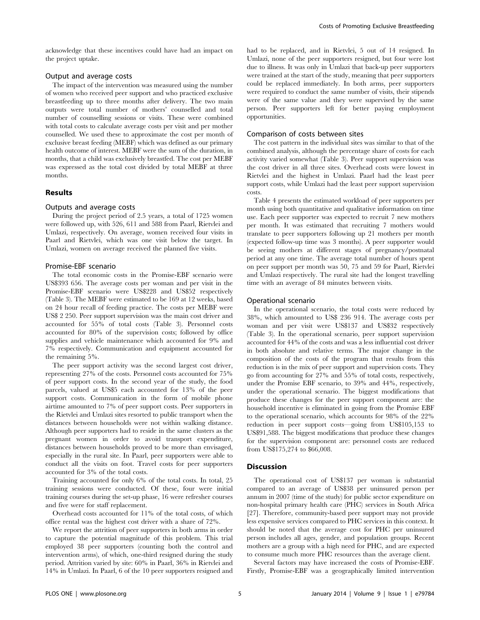acknowledge that these incentives could have had an impact on the project uptake.

## Output and average costs

The impact of the intervention was measured using the number of women who received peer support and who practiced exclusive breastfeeding up to three months after delivery. The two main outputs were total number of mothers' counselled and total number of counselling sessions or visits. These were combined with total costs to calculate average costs per visit and per mother counselled. We used these to approximate the cost per month of exclusive breast feeding (MEBF) which was defined as our primary health outcome of interest. MEBF were the sum of the duration, in months, that a child was exclusively breastfed. The cost per MEBF was expressed as the total cost divided by total MEBF at three months.

## Results

#### Outputs and average costs

During the project period of 2.5 years, a total of 1725 women were followed up, with 526, 611 and 588 from Paarl, Rietvlei and Umlazi, respectively. On average, women received four visits in Paarl and Rietvlei, which was one visit below the target. In Umlazi, women on average received the planned five visits.

#### Promise-EBF scenario

The total economic costs in the Promise-EBF scenario were US\$393 656. The average costs per woman and per visit in the Promise-EBF scenario were US\$228 and US\$52 respectively (Table 3). The MEBF were estimated to be 169 at 12 weeks, based on 24 hour recall of feeding practice. The costs per MEBF were US\$ 2 250. Peer support supervision was the main cost driver and accounted for 55% of total costs (Table 3). Personnel costs accounted for 80% of the supervision costs; followed by office supplies and vehicle maintenance which accounted for 9% and 7% respectively. Communication and equipment accounted for the remaining 5%.

The peer support activity was the second largest cost driver, representing 27% of the costs. Personnel costs accounted for 75% of peer support costs. In the second year of the study, the food parcels, valued at US\$5 each accounted for 13% of the peer support costs. Communication in the form of mobile phone airtime amounted to 7% of peer support costs. Peer supporters in the Rietvlei and Umlazi sites resorted to public transport when the distances between households were not within walking distance. Although peer supporters had to reside in the same clusters as the pregnant women in order to avoid transport expenditure, distances between households proved to be more than envisaged, especially in the rural site. In Paarl, peer supporters were able to conduct all the visits on foot. Travel costs for peer supporters accounted for 3% of the total costs.

Training accounted for only 6% of the total costs. In total, 25 training sessions were conducted. Of these, four were initial training courses during the set-up phase, 16 were refresher courses and five were for staff replacement.

Overhead costs accounted for 11% of the total costs, of which office rental was the highest cost driver with a share of 72%.

We report the attrition of peer supporters in both arms in order to capture the potential magnitude of this problem. This trial employed 38 peer supporters (counting both the control and intervention arms), of which, one-third resigned during the study period. Attrition varied by site: 60% in Paarl, 36% in Rietvlei and 14% in Umlazi. In Paarl, 6 of the 10 peer supporters resigned and had to be replaced, and in Rietvlei, 5 out of 14 resigned. In Umlazi, none of the peer supporters resigned, but four were lost due to illness. It was only in Umlazi that back-up peer supporters were trained at the start of the study, meaning that peer supporters could be replaced immediately. In both arms, peer supporters were required to conduct the same number of visits, their stipends were of the same value and they were supervised by the same person. Peer supporters left for better paying employment opportunities.

#### Comparison of costs between sites

The cost pattern in the individual sites was similar to that of the combined analysis, although the percentage share of costs for each activity varied somewhat (Table 3). Peer support supervision was the cost driver in all three sites. Overhead costs were lowest in Rietvlei and the highest in Umlazi. Paarl had the least peer support costs, while Umlazi had the least peer support supervision costs.

Table 4 presents the estimated workload of peer supporters per month using both quantitative and qualitative information on time use. Each peer supporter was expected to recruit 7 new mothers per month. It was estimated that recruiting 7 mothers would translate to peer supporters following up 21 mothers per month (expected follow-up time was 3 months). A peer supporter would be seeing mothers at different stages of pregnancy/postnatal period at any one time. The average total number of hours spent on peer support per month was 50, 75 and 59 for Paarl, Rietvlei and Umlazi respectively. The rural site had the longest travelling time with an average of 84 minutes between visits.

#### Operational scenario

In the operational scenario, the total costs were reduced by 38%, which amounted to US\$ 236 914. The average costs per woman and per visit were US\$137 and US\$32 respectively (Table 3). In the operational scenario, peer support supervision accounted for 44% of the costs and was a less influential cost driver in both absolute and relative terms. The major change in the composition of the costs of the program that results from this reduction is in the mix of peer support and supervision costs. They go from accounting for 27% and 55% of total costs, respectively, under the Promise EBF scenario, to 39% and 44%, respectively, under the operational scenario. The biggest modifications that produce these changes for the peer support component are: the household incentive is eliminated in going from the Promise EBF to the operational scenario, which accounts for 98% of the 22% reduction in peer support costs—going from US\$105,153 to US\$91,588. The biggest modifications that produce these changes for the supervision component are: personnel costs are reduced from US\$175,274 to \$66,008.

#### **Discussion**

The operational cost of US\$137 per woman is substantial compared to an average of US\$38 per uninsured person per annum in 2007 (time of the study) for public sector expenditure on non-hospital primary health care (PHC) services in South Africa [27]. Therefore, community-based peer support may not provide less expensive services compared to PHC services in this context. It should be noted that the average cost for PHC per uninsured person includes all ages, gender, and population groups. Recent mothers are a group with a high need for PHC, and are expected to consume much more PHC resources than the average client.

Several factors may have increased the costs of Promise-EBF. Firstly, Promise-EBF was a geographically limited intervention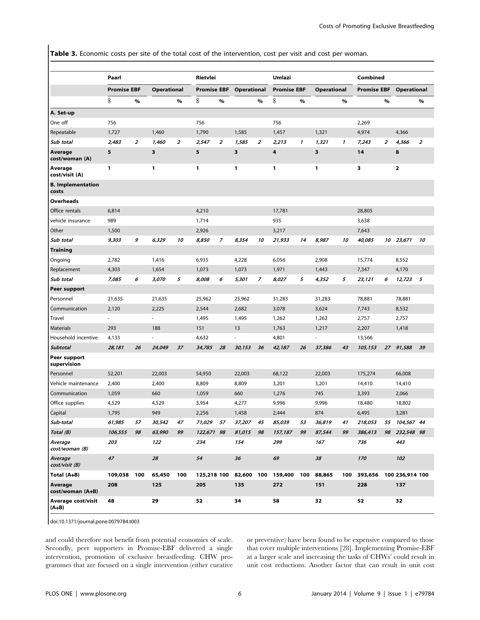Table 3. Economic costs per site of the total cost of the intervention, cost per visit and cost per woman.

|                                   | Paarl              |                |                    |      | Rietvlei           |                |             |                | Umlazi                             |      |                    |              | Combined           |                |                    |                |
|-----------------------------------|--------------------|----------------|--------------------|------|--------------------|----------------|-------------|----------------|------------------------------------|------|--------------------|--------------|--------------------|----------------|--------------------|----------------|
|                                   | <b>Promise EBF</b> |                | <b>Operational</b> |      | <b>Promise EBF</b> |                | Operational |                | <b>Promise EBF</b>                 |      | <b>Operational</b> |              | <b>Promise EBF</b> |                | <b>Operational</b> |                |
|                                   | \$                 | $\%$           |                    | $\%$ | \$                 | $\%$           |             | $\%$           | \$                                 | $\%$ |                    | $\%$         |                    | $\%$           |                    | $\%$           |
| A. Set-up                         |                    |                |                    |      |                    |                |             |                |                                    |      |                    |              |                    |                |                    |                |
| One off                           | 756                |                |                    |      | 756                |                |             |                | 756                                |      |                    |              | 2,269              |                |                    |                |
| Repeatable                        | 1,727              |                | 1,460              |      | 1,790              |                | 1,585       |                | 1,457                              |      | 1,321              |              | 4,974              |                | 4,366              |                |
| Sub total                         | 2,483              | $\overline{z}$ | 1.460              | 2    | 2,547              | $\overline{z}$ | 1,585       | $\overline{z}$ | 2,213                              | 1    | 1,321              | $\mathbf{1}$ | 7,243              | $\overline{z}$ | 4,366              | $\overline{z}$ |
| Average<br>cost/woman (A)         | 5                  |                | 3                  |      | 5                  |                | 3           |                | 4                                  |      | 3                  |              | 14                 |                | 8                  |                |
| Average<br>cost/visit (A)         | 1                  |                | 1                  |      | 1                  |                | 1           |                | 1                                  |      | 1                  |              | з                  |                | $\mathbf{2}$       |                |
| <b>B.</b> Implementation<br>costs |                    |                |                    |      |                    |                |             |                |                                    |      |                    |              |                    |                |                    |                |
| Overheads                         |                    |                |                    |      |                    |                |             |                |                                    |      |                    |              |                    |                |                    |                |
| Office rentals                    | 6,814              |                |                    |      | 4,210              |                |             |                | 17,781                             |      |                    |              | 28,805             |                |                    |                |
| vehicle insurance                 | 989                |                |                    |      | 1,714              |                |             |                | 935                                |      |                    |              | 3,638              |                |                    |                |
| Other                             | 1,500              |                |                    |      | 2,926              |                |             |                | 3,217                              |      |                    |              | 7,643              |                |                    |                |
| Sub total                         | 9,303              | 9              | 6,329              | 10   | 8,850              | 7              | 8,354       | 10             | 21,933                             | 14   | 8,987              | 10           | 40.085             |                | 10 23,671          | 10             |
| <b>Training</b>                   |                    |                |                    |      |                    |                |             |                |                                    |      |                    |              |                    |                |                    |                |
| Ongoing                           | 2,782              |                | 1,416              |      | 6,935              |                | 4,228       |                | 6,056                              |      | 2,908              |              | 15,774             |                | 8,552              |                |
| Replacement                       | 4,303              |                | 1,654              |      | 1,073              |                | 1,073       |                | 1,971                              |      | 1,443              |              | 7,347              |                | 4,170              |                |
| Sub total                         | 7,085              | 6              | 3,070              | 5    | 8,008              | 6              | 5,301       | $\overline{z}$ | 8,027                              | 5    | 4,352              | 5            | 23,121             | 6              | 12,723             | 5              |
| Peer support                      |                    |                |                    |      |                    |                |             |                |                                    |      |                    |              |                    |                |                    |                |
| Personnel                         | 21,635             |                | 21,635             |      | 25,962             |                | 25,962      |                | 31,283                             |      | 31,283             |              | 78,881             |                | 78,881             |                |
| Communication                     | 2,120              |                | 2,225              |      | 2,544              |                | 2,682       |                | 3,078                              |      | 3,624              |              | 7,743              |                | 8,532              |                |
| Travel                            | ä,                 |                |                    |      | 1,495              |                | 1,495       |                | 1,262                              |      | 1,262              |              | 2,757              |                | 2,757              |                |
| <b>Materials</b>                  | 293                |                | 188                |      | 151                |                | 13          |                | 1,763                              |      | 1,217              |              | 2,207              |                | 1,418              |                |
| Household incentive               | 4,133              |                |                    |      | 4,632              |                |             |                | 4,801                              |      |                    |              | 13,566             |                |                    |                |
| Subtotal                          | 28,181             | 26             | 24,049             | 37   | 34,785             | 28             | 30,153      | 36             | 42,187                             | 26   | 37,386             | 43           | 105,153            |                | 27 91,588          | 39             |
| Peer support<br>supervision       |                    |                |                    |      |                    |                |             |                |                                    |      |                    |              |                    |                |                    |                |
| Personnel                         | 52,201             |                | 22,003             |      | 54,950             |                | 22,003      |                | 68,122                             |      | 22,003             |              | 175,274            |                | 66,008             |                |
| Vehicle maintenance               | 2,400              |                | 2,400              |      | 8,809              |                | 8,809       |                | 3,201                              |      | 3,201              |              | 14,410             |                | 14,410             |                |
| Communication                     | 1,059              |                | 660                |      | 1,059              |                | 660         |                | 1,276                              |      | 745                |              | 3,393              |                | 2,066              |                |
| Office supplies                   | 4,529              |                | 4,529              |      | 3,954              |                | 4,277       |                | 9,996                              |      | 9,996              |              | 18,480             |                | 18,802             |                |
| Capital                           | 1,795              |                | 949                |      | 2,256              |                | 1,458       |                | 2,444                              |      | 874                |              | 6,495              |                | 3,281              |                |
| Sub-total                         | 61,985             | 57             | 30,542             | 47   | 71,029 57          |                | 37,207 45   |                | 85,039                             | 53   | 36,819             | 41           | 218,053            |                | 55 104,567 44      |                |
| Total (B)                         | 106,555            | 98             | 63,990             | 99   | 122,671 98         |                | 81,015      | 98             | 157,187                            | 99   | 87,544             | 99           | 386,413            |                | 98 232,548 98      |                |
| Average<br>cost/woman (B)         | 203                |                | 122                |      | 234                |                | 154         |                | 299                                |      | 167                |              | 736                |                | 443                |                |
| Average<br>cost/visit (B)         | 47                 |                | 28                 |      | 54                 |                | 36          |                | 69                                 |      | 38                 |              | 170                |                | 102                |                |
| Total (A+B)                       | 109,038            | 100            | 65,450             | 100  |                    |                |             |                | 125,218 100 82,600 100 159,400 100 |      | 88,865             | 100          | 393,656            |                | 100 236,914 100    |                |
| Average<br>cost/woman (A+B)       | 208                |                | 125                |      | 205                |                | 135         |                | 272                                |      | 151                |              | 228                |                | 137                |                |
| Average cost/visit<br>$(A+B)$     | 48                 |                | 29                 |      | 52                 |                | 34          |                | 58                                 |      | 32                 |              | 52                 |                | 32                 |                |

doi:10.1371/journal.pone.0079784.t003

and could therefore not benefit from potential economies of scale. Secondly, peer supporters in Promise-EBF delivered a single intervention, promotion of exclusive breastfeeding. CHW programmes that are focused on a single intervention (either curative or preventive) have been found to be expensive compared to those that cover multiple interventions [28]. Implementing Promise-EBF at a larger scale and increasing the tasks of CHWs' could result in unit cost reductions. Another factor that can result in unit cost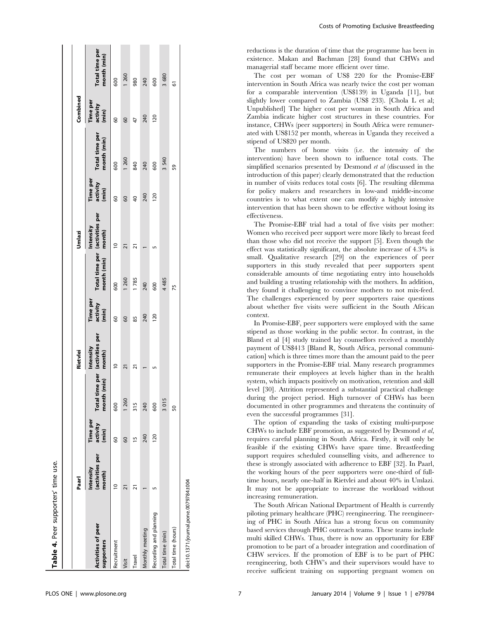|                                         | Paarl                                  |                               |                           | Rietvlei                                        |                               |                                               | Jmlazi              |                               |                               | Combined                      |                               |
|-----------------------------------------|----------------------------------------|-------------------------------|---------------------------|-------------------------------------------------|-------------------------------|-----------------------------------------------|---------------------|-------------------------------|-------------------------------|-------------------------------|-------------------------------|
| <b>Activities of peer</b><br>supporters | (activities per<br>Intensity<br>month) | Time per<br>activity<br>(min) | h (min)<br>montl<br>Total | time per (activities per<br>Intensity<br>month) | Time per<br>activity<br>(min) | Total time per (activities per<br>month (min) | Intensity<br>month) | Time per<br>activity<br>(min) | Total time per<br>month (min) | Time per<br>activity<br>(min) | Total time per<br>month (min) |
| Recruitment                             |                                        | 8                             | 600                       | $\supseteq$                                     | 8                             | 600                                           | $\overline{a}$      | 8                             | 600                           | 8                             | 600                           |
| Visit                                   | 21                                     | 8                             | 1 260                     | $\overline{21}$                                 | 8                             | 1 260                                         | $\overline{2}$      | 8                             | 1 260                         | 60                            | 1 260                         |
| Travel                                  |                                        | 15                            | 315                       | ಸ                                               | 85                            | 1785                                          |                     | ₽                             | 840                           | 47                            | 980                           |
| Monthly meeting                         |                                        | 240                           | 240                       |                                                 | 240                           | 240                                           |                     | 240                           | 240                           | 240                           | 240                           |
| Recording and planning                  |                                        | 120                           | 600                       |                                                 | 120                           | 600                                           |                     | 120                           | 600                           | $\frac{20}{20}$               | 600                           |
| Total time (min)                        |                                        |                               | 3015                      |                                                 |                               | 4 4 8 5                                       |                     |                               | 3 540                         |                               | 3 680                         |
| Total time (hours)                      |                                        |                               | SO                        |                                                 |                               | 75                                            |                     |                               | 59                            |                               | 5                             |
| doi:10.1371/journal.pone.0079784.t004   |                                        |                               |                           |                                                 |                               |                                               |                     |                               |                               |                               |                               |

Costs of Promoting Exclusive Breastfeeding

reductions is the duration of time that the programme has been in existence. Makan and Bachman [28] found that CHWs and managerial staff became more efficient over time.

The cost per woman of US\$ 220 for the Promise-EBF intervention in South Africa was nearly twice the cost per woman for a comparable intervention (US\$139) in Uganda [11], but slightly lower compared to Zambia (US\$ 233). [Chola L et al; Unpublished] The higher cost per woman in South Africa and Zambia indicate higher cost structures in these countries. For instance, CHWs (peer supporters) in South Africa were remunerated with US\$152 per month, whereas in Uganda they received a stipend of US\$20 per month.

The numbers of home visits (i.e. the intensity of the intervention) have been shown to influence total costs. The simplified scenarios presented by Desmond et al (discussed in the introduction of this paper) clearly demonstrated that the reduction in number of visits reduces total costs [6]. The resulting dilemma for policy makers and researchers in low-and middle-income countries is to what extent one can modify a highly intensive intervention that has been shown to be effective without losing its effectiveness.

The Promise-EBF trial had a total of five visits per mother: Women who received peer support were more likely to breast feed than those who did not receive the support [5]. Even though the effect was statistically significant, the absolute increase of 4.3% is small. Qualitative research [29] on the experiences of peer supporters in this study revealed that peer supporters spent considerable amounts of time negotiating entry into households and building a trusting relationship with the mothers. In addition, they found it challenging to convince mothers to not mix-feed. The challenges experienced by peer supporters raise questions about whether five visits were sufficient in the South African context.

In Promise-EBF, peer supporters were employed with the same stipend as those working in the public sector. In contrast, in the Bland et al [4] study trained lay counsellors received a monthly payment of US\$413 [Bland R, South Africa, personal communication] which is three times more than the amount paid to the peer supporters in the Promise-EBF trial. Many research programmes remunerate their employees at levels higher than in the health system, which impacts positively on motivation, retention and skill level [30]. Attrition represented a substantial practical challenge during the project period. High turnover of CHWs has been documented in other programmes and threatens the continuity of even the successful programmes [31].

The option of expanding the tasks of existing multi-purpose CHWs to include EBF promotion, as suggested by Desmond et al, requires careful planning in South Africa. Firstly, it will only be feasible if the existing CHWs have spare time. Breastfeeding support requires scheduled counselling visits, and adherence to these is strongly associated with adherence to EBF [32]. In Paarl, the working hours of the peer supporters were one-third of fulltime hours, nearly one-half in Rietvlei and about 40% in Umlazi. It may not be appropriate to increase the workload without increasing remuneration.

The South African National Department of Health is currently piloting primary healthcare (PHC) reengineering. The reengineering of PHC in South Africa has a strong focus on community based services through PHC outreach teams. These teams include multi skilled CHWs. Thus, there is now an opportunity for EBF promotion to be part of a broader integration and coordination of CHW services. If the promotion of EBF is to be part of PHC reengineering, both CHW's and their supervisors would have to receive sufficient training on supporting pregnant women on

Table 4. Peer supporters' time use.

Table 4. Peer supporters' time use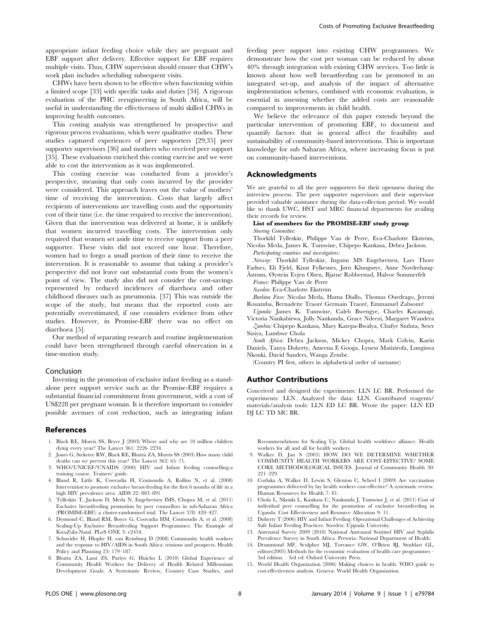appropriate infant feeding choice while they are pregnant and EBF support after delivery. Effective support for EBF requires multiple visits. Thus, CHW supervision should ensure that CHW's work plan includes scheduling subsequent visits.

CHWs have been shown to be effective when functioning within a limited scope [33] with specific tasks and duties [34]. A rigorous evaluation of the PHC reengineering in South Africa, will be useful in understanding the effectiveness of multi skilled CHWs in improving health outcomes.

This costing analysis was strengthened by prospective and rigorous process evaluations, which were qualitative studies. These studies captured experiences of peer supporters [29,35] peer supporter supervisors [36] and mothers who received peer support [35]. These evaluations enriched this costing exercise and we were able to cost the intervention as it was implemented.

This costing exercise was conducted from a provider's perspective, meaning that only costs incurred by the provider were considered. This approach leaves out the value of mothers' time of receiving the intervention. Costs that largely affect recipients of interventions are travelling costs and the opportunity cost of their time (i.e. the time required to receive the intervention). Given that the intervention was delivered at home, it is unlikely that women incurred travelling costs. The intervention only required that women set aside time to receive support from a peer supporter. These visits did not exceed one hour. Therefore, women had to forgo a small portion of their time to receive the intervention. It is reasonable to assume that taking a provider's perspective did not leave out substantial costs from the women's point of view. The study also did not consider the cost-savings represented by reduced incidences of diarrhoea and other childhood diseases such as pneumonia. [37] This was outside the scope of the study, but means that the reported costs are potentially overestimated, if one considers evidence from other studies. However, in Promise-EBF there was no effect on diarrhoea [5].

Our method of separating research and routine implementation could have been strengthened through careful observation in a time-motion study.

## Conclusion

Investing in the promotion of exclusive infant feeding as a standalone peer support service such as the Promise-EBF requires a substantial financial commitment from government, with a cost of US\$228 per pregnant woman. It is therefore important to consider possible avenues of cost reduction, such as integrating infant

#### References

- 1. Black RE, Morris SS, Bryce J (2003) Where and why are 10 million children dying every year? The Lancet 361: 2226–2234.
- 2. Jones G, Steketee RW, Black RE, Bhutta ZA, Morris SS (2003) How many child deaths can we prevent this year? The Lancet 362: 65–71.
- 3. WHO/UNICEF/UNAIDS (2000) HIV and Infant feeding counselling:a training course. Trainers' guide.
- 4. Bland R, Little K, Coovadia H, Coutsoudis A, Rollins N, et al. (2008) Intervention to promote exclusive breast-feeding for the first 6 months of life in a high HIV prevalence area. AIDS 22: 883–891
- 5. Tylleskär T, Jackson D, Meda N, Engebretsen IMS, Chopra M, et al. (2011) Exclusive breastfeeding promotion by peer counsellors in sub-Saharan Africa (PROMISE-EBF): a cluster-randomised trial. The Lancet 378: 420–427.
- 6. Desmond C, Bland RM, Boyce G, Coovadia HM, Coutsoudis A, et al. (2008) Scaling-Up Exclusive Breastfeeding Support Programmes: The Example of KwaZulu-Natal. PLoS ONE 3: e2454.
- 7. Schneider H, Hlophe H, van Rensburg D (2008) Community health workers and the response to HIV/AIDS in South Africa: tensions and prospects. Health Policy and Planning 23: 179–187.
- 8. Bhutta ZA, Lassi ZS, Pariyo G, Huicho L (2010) Global Experience of Community Health Workers for Delivery of Health Related Millennium Development Goals: A Systematic Review, Country Case Studies, and

feeding peer support into existing CHW programmes. We demonstrate how the cost per woman can be reduced by about 40% through integration with existing CHW services. Too little is known about how well breastfeeding can be promoted in an integrated set-up, and analysis of the impact of alternative implementation schemes, combined with economic evaluation, is essential in assessing whether the added costs are reasonable compared to improvements in child health.

We believe the relevance of this paper extends beyond the particular intervention of promoting EBF, to document and quantify factors that in general affect the feasibility and sustainability of community-based interventions. This is important knowledge for sub Saharan Africa, where increasing focus is put on community-based interventions.

#### Acknowledgments

We are grateful to all the peer supporters for their openness during the interview process. The peer supporter supervisors and their supervisor provided valuable assistance during the data-collection period. We would like to thank UWC, HST and MRC financial departments for availing their records for review.

#### List of members for the PROMISE-EBF study group Steering Committee:

Thorkild Tylleskär, Philippe Van de Perre, Eva-Charlotte Ekström, Nicolas Meda, James K. Tumwine, Chipepo Kankasa, Debra Jackson.

Participating countries and investigators: Norway: Thorkild Tylleskär, Ingunn MS Engebretsen, Lars Thore Fadnes, Eli Fjeld, Knut Fylkesnes, Jørn Klungsøyr, Anne Nordrehaug-

Åstrøm, Øystein Evjen Olsen, Bjarne Robberstad, Halvor Sommerfelt

France: Philippe Van de Perre

Sweden: Eva-Charlotte Ekström

Burkina Faso: Nicolas Meda, Hama Diallo, Thomas Ouedrago, Jeremi Rouamba, Bernadette Traoré Germain Traoré, Emmanuel Zabsonré

Uganda: James K. Tumwine, Caleb Bwengye, Charles Karamagi, Victoria Nankabirwa, Jolly Nankunda, Grace Ndeezi, Margaret Wandera

Zambia: Chipepo Kankasa, Mary Katepa-Bwalya, Chafye Siuluta, Seter Siziya, Lumbwe Chola

South Africa: Debra Jackson, Mickey Chopra, Mark Colvin, Karin Daniels, Tanya Doherty, Ameena E Googa, Lyness Matizirofa, Lungiswa Nkonki, David Sanders, Wanga Zembe.

(Country PI first, others in alphabetical order of surname)

#### Author Contributions

Conceived and designed the experiments: LLN LC BR. Performed the experiments: LLN. Analyzed the data: LLN. Contributed reagents/ materials/analysis tools: LLN ED LC BR. Wrote the paper: LLN ED DJ LC TD MC BR.

Recommendations for Scaling Up. Global health workforce alliance: Health workers for all and all for health workers.

- 9. Walker D, Jan S (2005) HOW DO WE DETERMINE WHETHER COMMUNITY HEALTH WORKERS ARE COST-EFFECTIVE? SOME CORE METHODOLOGICAL ISSUES. Journal of Community Health 30: 221–229.
- 10. Corluka A, Walker D, Lewin S, Glenton C, Scheel I (2009) Are vaccination programmes delivered by lay health workers cost-effective? A systematic review. Human Resources for Health 7: 81.
- 11. Chola L, Nkonki L, Kankasa C, Nankunda J, Tumwine J, et al. (2011) Cost of individual peer counselling for the promotion of exclusive breastfeeding in Uganda. Cost Effectiveness and Resource Allocation 9: 11.
- 12. Doherty T (2006) HIV and Infant Feeding: Operational Challenges of Achieving Safe Infant Feeding Practices. Sweden: Uppsala University.
- 13. Antenatal Survey 2009 (2010) National Antenatal Sentinel HIV and Syphilis Prevalence Survey in South Africa. Pretoria: National Department of Health.
- 14. Drummond MF, Sculpher MJ, Torrance GW, O'Brien BJ, Stoddart GL, editors(2005) Methods for the economic evaluation of health care programmes – 3rd edition. . 3rd ed: Oxford University Press.
- 15. World Health Organization (2006) Making choices in health: WHO guide to cost-effectiveness analysis. Geneva: World Health Organisation.